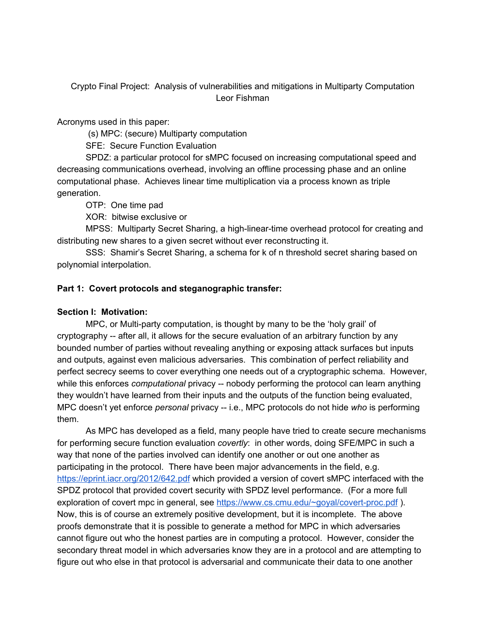Crypto Final Project: Analysis of vulnerabilities and mitigations in Multiparty Computation Leor Fishman

Acronyms used in this paper:

(s) MPC: (secure) Multiparty computation

SFE: Secure Function Evaluation

SPDZ: a particular protocol for sMPC focused on increasing computational speed and decreasing communications overhead, involving an offline processing phase and an online computational phase. Achieves linear time multiplication via a process known as triple generation.

OTP: One time pad

XOR: bitwise exclusive or

MPSS: Multiparty Secret Sharing, a high-linear-time overhead protocol for creating and distributing new shares to a given secret without ever reconstructing it.

SSS: Shamir's Secret Sharing, a schema for k of n threshold secret sharing based on polynomial interpolation.

## **Part 1: Covert protocols and steganographic transfer:**

## **Section I: Motivation:**

MPC, or Multi-party computation, is thought by many to be the 'holy grail' of cryptography -- after all, it allows for the secure evaluation of an arbitrary function by any bounded number of parties without revealing anything or exposing attack surfaces but inputs and outputs, against even malicious adversaries. This combination of perfect reliability and perfect secrecy seems to cover everything one needs out of a cryptographic schema. However, while this enforces *computational* privacy -- nobody performing the protocol can learn anything they wouldn't have learned from their inputs and the outputs of the function being evaluated, MPC doesn't yet enforce *personal* privacy -- i.e., MPC protocols do not hide *who* is performing them.

As MPC has developed as a field, many people have tried to create secure mechanisms for performing secure function evaluation *covertly*: in other words, doing SFE/MPC in such a way that none of the parties involved can identify one another or out one another as participating in the protocol. There have been major advancements in the field, e.g. <https://eprint.iacr.org/2012/642.pdf> which provided a version of covert sMPC interfaced with the SPDZ protocol that provided covert security with SPDZ level performance. (For a more full exploration of covert mpc in general, see <https://www.cs.cmu.edu/~goyal/covert-proc.pdf> ). Now, this is of course an extremely positive development, but it is incomplete. The above proofs demonstrate that it is possible to generate a method for MPC in which adversaries cannot figure out who the honest parties are in computing a protocol. However, consider the secondary threat model in which adversaries know they are in a protocol and are attempting to figure out who else in that protocol is adversarial and communicate their data to one another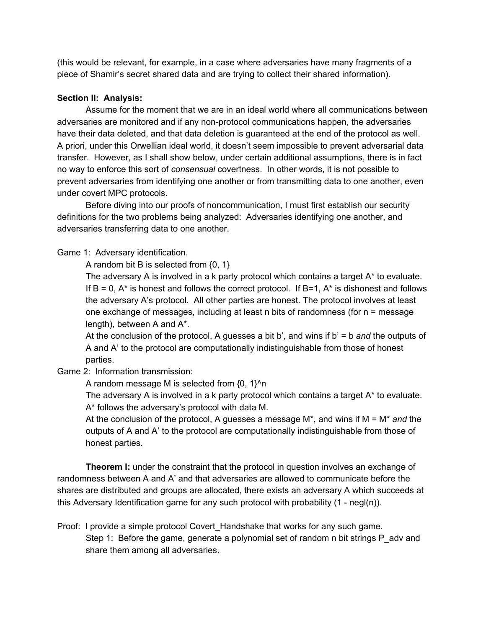(this would be relevant, for example, in a case where adversaries have many fragments of a piece of Shamir's secret shared data and are trying to collect their shared information).

## **Section II: Analysis:**

Assume for the moment that we are in an ideal world where all communications between adversaries are monitored and if any non-protocol communications happen, the adversaries have their data deleted, and that data deletion is guaranteed at the end of the protocol as well. A priori, under this Orwellian ideal world, it doesn't seem impossible to prevent adversarial data transfer. However, as I shall show below, under certain additional assumptions, there is in fact no way to enforce this sort of *consensual* covertness. In other words, it is not possible to prevent adversaries from identifying one another or from transmitting data to one another, even under covert MPC protocols.

Before diving into our proofs of noncommunication, I must first establish our security definitions for the two problems being analyzed: Adversaries identifying one another, and adversaries transferring data to one another.

Game 1: Adversary identification.

A random bit B is selected from {0, 1}

The adversary A is involved in a k party protocol which contains a target A\* to evaluate. If  $B = 0$ ,  $A^*$  is honest and follows the correct protocol. If  $B=1$ ,  $A^*$  is dishonest and follows the adversary A's protocol. All other parties are honest. The protocol involves at least one exchange of messages, including at least n bits of randomness (for n = message length), between A and A\*.

At the conclusion of the protocol, A guesses a bit b', and wins if b' = b *and* the outputs of A and A' to the protocol are computationally indistinguishable from those of honest parties.

Game 2: Information transmission:

A random message M is selected from  $\{0, 1\}^n$ n

The adversary A is involved in a k party protocol which contains a target A\* to evaluate. A\* follows the adversary's protocol with data M.

At the conclusion of the protocol, A guesses a message M\*, and wins if M = M\* *and* the outputs of A and A' to the protocol are computationally indistinguishable from those of honest parties.

**Theorem I:** under the constraint that the protocol in question involves an exchange of randomness between A and A' and that adversaries are allowed to communicate before the shares are distributed and groups are allocated, there exists an adversary A which succeeds at this Adversary Identification game for any such protocol with probability  $(1 - \text{neg}(\mathsf{n}))$ .

Proof: I provide a simple protocol Covert\_Handshake that works for any such game. Step 1: Before the game, generate a polynomial set of random n bit strings P adv and share them among all adversaries.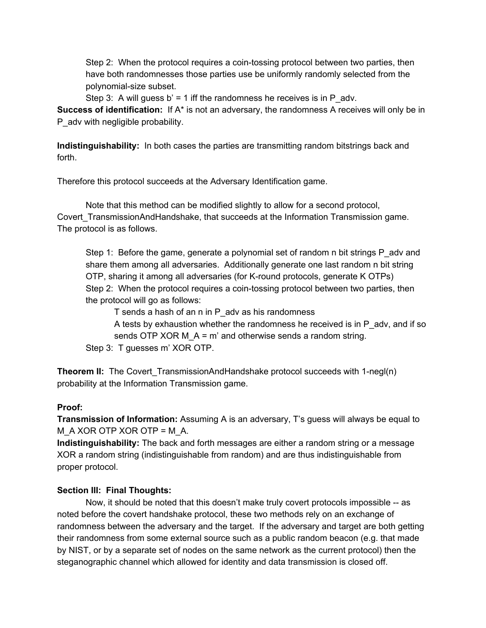Step 2: When the protocol requires a coin-tossing protocol between two parties, then have both randomnesses those parties use be uniformly randomly selected from the polynomial-size subset.

Step 3: A will guess  $b' = 1$  iff the randomness he receives is in P adv.

**Success of identification:** If A\* is not an adversary, the randomness A receives will only be in P\_adv with negligible probability.

**Indistinguishability:** In both cases the parties are transmitting random bitstrings back and forth.

Therefore this protocol succeeds at the Adversary Identification game.

Note that this method can be modified slightly to allow for a second protocol, Covert\_TransmissionAndHandshake, that succeeds at the Information Transmission game. The protocol is as follows.

Step 1: Before the game, generate a polynomial set of random n bit strings P adv and share them among all adversaries. Additionally generate one last random n bit string OTP, sharing it among all adversaries (for K-round protocols, generate K OTPs) Step 2: When the protocol requires a coin-tossing protocol between two parties, then the protocol will go as follows:

T sends a hash of an n in P\_adv as his randomness

A tests by exhaustion whether the randomness he received is in P\_adv, and if so sends OTP XOR M\_A = m' and otherwise sends a random string.

Step 3: T guesses m' XOR OTP.

**Theorem II:** The Covert TransmissionAndHandshake protocol succeeds with 1-negl(n) probability at the Information Transmission game.

## **Proof:**

**Transmission of Information:** Assuming A is an adversary, T's guess will always be equal to M\_A XOR OTP XOR OTP = M\_A.

**Indistinguishability:** The back and forth messages are either a random string or a message XOR a random string (indistinguishable from random) and are thus indistinguishable from proper protocol.

# **Section III: Final Thoughts:**

Now, it should be noted that this doesn't make truly covert protocols impossible -- as noted before the covert handshake protocol, these two methods rely on an exchange of randomness between the adversary and the target. If the adversary and target are both getting their randomness from some external source such as a public random beacon (e.g. that made by NIST, or by a separate set of nodes on the same network as the current protocol) then the steganographic channel which allowed for identity and data transmission is closed off.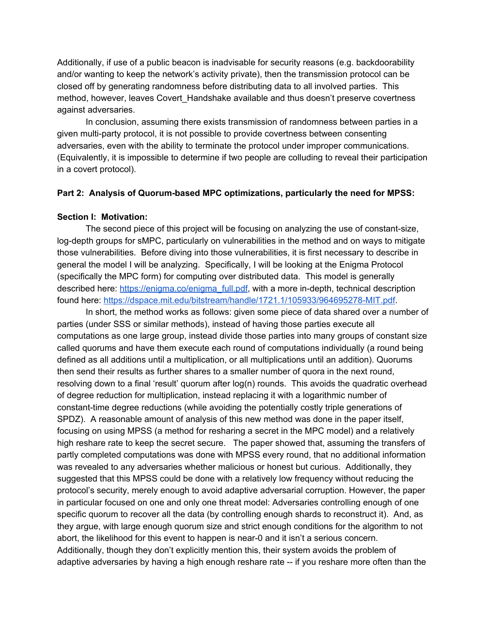Additionally, if use of a public beacon is inadvisable for security reasons (e.g. backdoorability and/or wanting to keep the network's activity private), then the transmission protocol can be closed off by generating randomness before distributing data to all involved parties. This method, however, leaves Covert Handshake available and thus doesn't preserve covertness against adversaries.

In conclusion, assuming there exists transmission of randomness between parties in a given multi-party protocol, it is not possible to provide covertness between consenting adversaries, even with the ability to terminate the protocol under improper communications. (Equivalently, it is impossible to determine if two people are colluding to reveal their participation in a covert protocol).

#### **Part 2: Analysis of Quorum-based MPC optimizations, particularly the need for MPSS:**

#### **Section I: Motivation:**

The second piece of this project will be focusing on analyzing the use of constant-size, log-depth groups for sMPC, particularly on vulnerabilities in the method and on ways to mitigate those vulnerabilities. Before diving into those vulnerabilities, it is first necessary to describe in general the model I will be analyzing. Specifically, I will be looking at the Enigma Protocol (specifically the MPC form) for computing over distributed data. This model is generally described here: [https://enigma.co/enigma\\_full.pdf](https://enigma.co/enigma_full.pdf), with a more in-depth, technical description found here: [https://dspace.mit.edu/bitstream/handle/1721.1/105933/964695278-MIT.pdf.](https://dspace.mit.edu/bitstream/handle/1721.1/105933/964695278-MIT.pdf)

In short, the method works as follows: given some piece of data shared over a number of parties (under SSS or similar methods), instead of having those parties execute all computations as one large group, instead divide those parties into many groups of constant size called quorums and have them execute each round of computations individually (a round being defined as all additions until a multiplication, or all multiplications until an addition). Quorums then send their results as further shares to a smaller number of quora in the next round, resolving down to a final 'result' quorum after log(n) rounds. This avoids the quadratic overhead of degree reduction for multiplication, instead replacing it with a logarithmic number of constant-time degree reductions (while avoiding the potentially costly triple generations of SPDZ). A reasonable amount of analysis of this new method was done in the paper itself, focusing on using MPSS (a method for resharing a secret in the MPC model) and a relatively high reshare rate to keep the secret secure. The paper showed that, assuming the transfers of partly completed computations was done with MPSS every round, that no additional information was revealed to any adversaries whether malicious or honest but curious. Additionally, they suggested that this MPSS could be done with a relatively low frequency without reducing the protocol's security, merely enough to avoid adaptive adversarial corruption. However, the paper in particular focused on one and only one threat model: Adversaries controlling enough of one specific quorum to recover all the data (by controlling enough shards to reconstruct it). And, as they argue, with large enough quorum size and strict enough conditions for the algorithm to not abort, the likelihood for this event to happen is near-0 and it isn't a serious concern. Additionally, though they don't explicitly mention this, their system avoids the problem of adaptive adversaries by having a high enough reshare rate -- if you reshare more often than the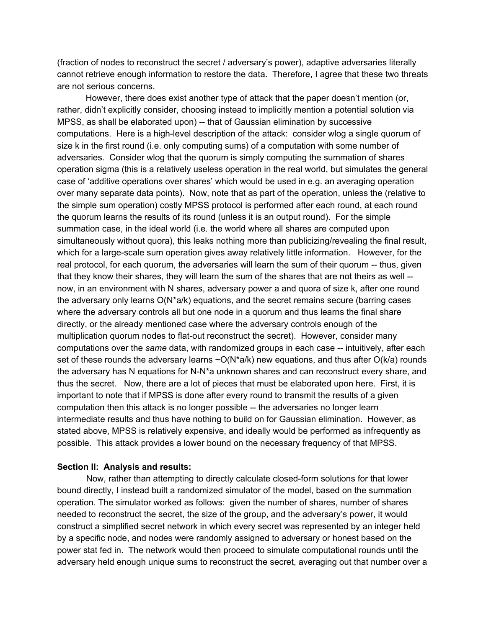(fraction of nodes to reconstruct the secret / adversary's power), adaptive adversaries literally cannot retrieve enough information to restore the data. Therefore, I agree that these two threats are not serious concerns.

However, there does exist another type of attack that the paper doesn't mention (or, rather, didn't explicitly consider, choosing instead to implicitly mention a potential solution via MPSS, as shall be elaborated upon) -- that of Gaussian elimination by successive computations. Here is a high-level description of the attack: consider wlog a single quorum of size k in the first round (i.e. only computing sums) of a computation with some number of adversaries. Consider wlog that the quorum is simply computing the summation of shares operation sigma (this is a relatively useless operation in the real world, but simulates the general case of 'additive operations over shares' which would be used in e.g. an averaging operation over many separate data points). Now, note that as part of the operation, unless the (relative to the simple sum operation) costly MPSS protocol is performed after each round, at each round the quorum learns the results of its round (unless it is an output round). For the simple summation case, in the ideal world (i.e. the world where all shares are computed upon simultaneously without quora), this leaks nothing more than publicizing/revealing the final result, which for a large-scale sum operation gives away relatively little information. However, for the real protocol, for each quorum, the adversaries will learn the sum of their quorum -- thus, given that they know their shares, they will learn the sum of the shares that are not theirs as well - now, in an environment with N shares, adversary power a and quora of size k, after one round the adversary only learns O(N\*a/k) equations, and the secret remains secure (barring cases where the adversary controls all but one node in a quorum and thus learns the final share directly, or the already mentioned case where the adversary controls enough of the multiplication quorum nodes to flat-out reconstruct the secret). However, consider many computations over the *same* data, with randomized groups in each case -- intuitively, after each set of these rounds the adversary learns  $\sim O(N^*a/k)$  new equations, and thus after  $O(k/a)$  rounds the adversary has N equations for N-N\*a unknown shares and can reconstruct every share, and thus the secret. Now, there are a lot of pieces that must be elaborated upon here. First, it is important to note that if MPSS is done after every round to transmit the results of a given computation then this attack is no longer possible -- the adversaries no longer learn intermediate results and thus have nothing to build on for Gaussian elimination. However, as stated above, MPSS is relatively expensive, and ideally would be performed as infrequently as possible. This attack provides a lower bound on the necessary frequency of that MPSS.

#### **Section II: Analysis and results:**

Now, rather than attempting to directly calculate closed-form solutions for that lower bound directly, I instead built a randomized simulator of the model, based on the summation operation. The simulator worked as follows: given the number of shares, number of shares needed to reconstruct the secret, the size of the group, and the adversary's power, it would construct a simplified secret network in which every secret was represented by an integer held by a specific node, and nodes were randomly assigned to adversary or honest based on the power stat fed in. The network would then proceed to simulate computational rounds until the adversary held enough unique sums to reconstruct the secret, averaging out that number over a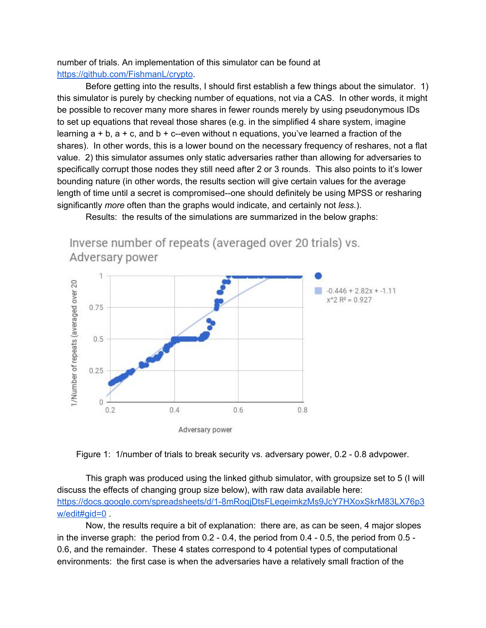number of trials. An implementation of this simulator can be found at <https://github.com/FishmanL/crypto>.

Before getting into the results, I should first establish a few things about the simulator. 1) this simulator is purely by checking number of equations, not via a CAS. In other words, it might be possible to recover many more shares in fewer rounds merely by using pseudonymous IDs to set up equations that reveal those shares (e.g. in the simplified 4 share system, imagine learning  $a + b$ ,  $a + c$ , and  $b + c$ -even without n equations, you've learned a fraction of the shares). In other words, this is a lower bound on the necessary frequency of reshares, not a flat value. 2) this simulator assumes only static adversaries rather than allowing for adversaries to specifically corrupt those nodes they still need after 2 or 3 rounds. This also points to it's lower bounding nature (in other words, the results section will give certain values for the average length of time until a secret is compromised--one should definitely be using MPSS or resharing significantly *more* often than the graphs would indicate, and certainly not *less.*).



Results: the results of the simulations are summarized in the below graphs:



This graph was produced using the linked github simulator, with groupsize set to 5 (I will discuss the effects of changing group size below), with raw data available here: [https://docs.google.com/spreadsheets/d/1-8mRoqjDtsFLeqeimkzMs9JcY7HXoxSkrM83LX76p3](https://docs.google.com/spreadsheets/d/1-8mRoqjDtsFLeqeimkzMs9JcY7HXoxSkrM83LX76p3w/edit#gid=0) [w/edit#gid=0](https://docs.google.com/spreadsheets/d/1-8mRoqjDtsFLeqeimkzMs9JcY7HXoxSkrM83LX76p3w/edit#gid=0) .

Now, the results require a bit of explanation: there are, as can be seen, 4 major slopes in the inverse graph: the period from 0.2 - 0.4, the period from 0.4 - 0.5, the period from 0.5 - 0.6, and the remainder. These 4 states correspond to 4 potential types of computational environments: the first case is when the adversaries have a relatively small fraction of the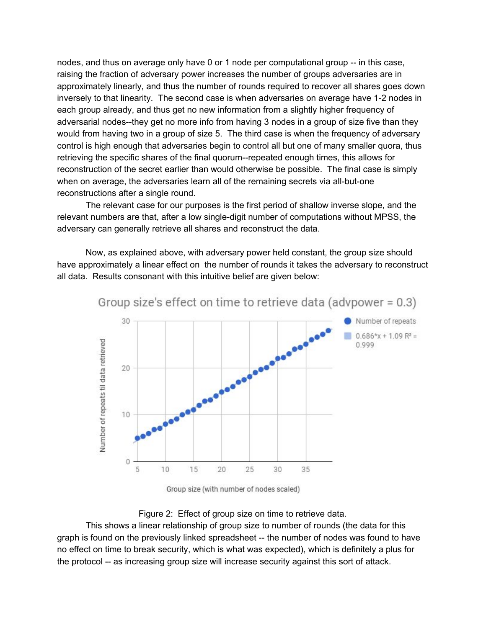nodes, and thus on average only have 0 or 1 node per computational group -- in this case, raising the fraction of adversary power increases the number of groups adversaries are in approximately linearly, and thus the number of rounds required to recover all shares goes down inversely to that linearity. The second case is when adversaries on average have 1-2 nodes in each group already, and thus get no new information from a slightly higher frequency of adversarial nodes--they get no more info from having 3 nodes in a group of size five than they would from having two in a group of size 5. The third case is when the frequency of adversary control is high enough that adversaries begin to control all but one of many smaller quora, thus retrieving the specific shares of the final quorum--repeated enough times, this allows for reconstruction of the secret earlier than would otherwise be possible. The final case is simply when on average, the adversaries learn all of the remaining secrets via all-but-one reconstructions after a single round.

The relevant case for our purposes is the first period of shallow inverse slope, and the relevant numbers are that, after a low single-digit number of computations without MPSS, the adversary can generally retrieve all shares and reconstruct the data.

Now, as explained above, with adversary power held constant, the group size should have approximately a linear effect on the number of rounds it takes the adversary to reconstruct all data. Results consonant with this intuitive belief are given below:



Group size (with number of nodes scaled)

#### Figure 2: Effect of group size on time to retrieve data.

This shows a linear relationship of group size to number of rounds (the data for this graph is found on the previously linked spreadsheet -- the number of nodes was found to have no effect on time to break security, which is what was expected), which is definitely a plus for the protocol -- as increasing group size will increase security against this sort of attack.